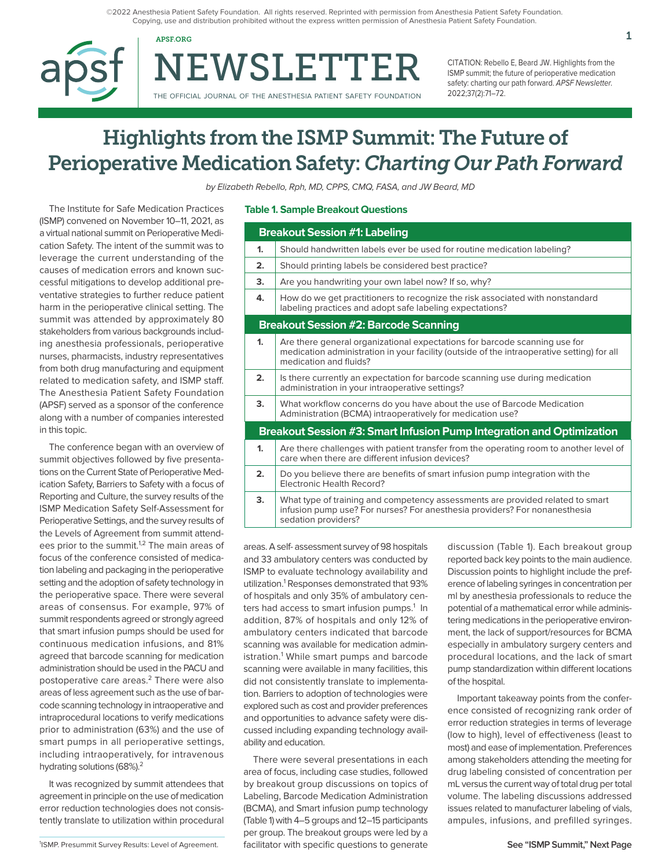©2022 Anesthesia Patient Safety Foundation. All rights reserved. Reprinted with permission from Anesthesia Patient Safety Foundation. Copying, use and distribution prohibited without the express written permission of Anesthesia Patient Safety Foundation.

NEWSLETTER APSF.ORG  $1$ 

THE OFFICIAL JOURNAL OF THE ANESTHESIA PATIENT SAFETY FOUNDATION

CITATION: Rebello E, Beard JW. Highlights from the ISMP summit; the future of perioperative medication safety: charting our path forward. APSF Newsletter. 2022;37(2):71–72.

# Highlights from the ISMP Summit: The Future of Perioperative Medication Safety: *Charting Our Path Forward*

by Elizabeth Rebello, Rph, MD, CPPS, CMQ, FASA, and JW Beard, MD

The Institute for Safe Medication Practices (ISMP) convened on November 10–11, 2021, as a virtual national summit on Perioperative Medication Safety. The intent of the summit was to leverage the current understanding of the causes of medication errors and known successful mitigations to develop additional preventative strategies to further reduce patient harm in the perioperative clinical setting. The summit was attended by approximately 80 stakeholders from various backgrounds including anesthesia professionals, perioperative nurses, pharmacists, industry representatives from both drug manufacturing and equipment related to medication safety, and ISMP staff. The Anesthesia Patient Safety Foundation (APSF) served as a sponsor of the conference along with a number of companies interested in this topic.

The conference began with an overview of summit objectives followed by five presentations on the Current State of Perioperative Medication Safety, Barriers to Safety with a focus of Reporting and Culture, the survey results of the ISMP Medication Safety Self-Assessment for Perioperative Settings, and the survey results of the Levels of Agreement from summit attendees prior to the summit.<sup>1,2</sup> The main areas of focus of the conference consisted of medication labeling and packaging in the perioperative setting and the adoption of safety technology in the perioperative space. There were several areas of consensus. For example, 97% of summit respondents agreed or strongly agreed that smart infusion pumps should be used for continuous medication infusions, and 81% agreed that barcode scanning for medication administration should be used in the PACU and postoperative care areas.<sup>2</sup> There were also areas of less agreement such as the use of barcode scanning technology in intraoperative and intraprocedural locations to verify medications prior to administration (63%) and the use of smart pumps in all perioperative settings, including intraoperatively, for intravenous hydrating solutions (68%).<sup>2</sup>

It was recognized by summit attendees that agreement in principle on the use of medication error reduction technologies does not consistently translate to utilization within procedural

#### **Table 1. Sample Breakout Questions**

| <b>Breakout Session #1: Labeling</b>                                  |                                                                                                                                                                                                    |
|-----------------------------------------------------------------------|----------------------------------------------------------------------------------------------------------------------------------------------------------------------------------------------------|
| 1.                                                                    | Should handwritten labels ever be used for routine medication labeling?                                                                                                                            |
| 2.                                                                    | Should printing labels be considered best practice?                                                                                                                                                |
| 3.                                                                    | Are you handwriting your own label now? If so, why?                                                                                                                                                |
| 4.                                                                    | How do we get practitioners to recognize the risk associated with nonstandard<br>labeling practices and adopt safe labeling expectations?                                                          |
| <b>Breakout Session #2: Barcode Scanning</b>                          |                                                                                                                                                                                                    |
| 1.                                                                    | Are there general organizational expectations for barcode scanning use for<br>medication administration in your facility (outside of the intraoperative setting) for all<br>medication and fluids? |
| 2.                                                                    | Is there currently an expectation for barcode scanning use during medication<br>administration in your intraoperative settings?                                                                    |
| 3.                                                                    | What workflow concerns do you have about the use of Barcode Medication<br>Administration (BCMA) intraoperatively for medication use?                                                               |
| Breakout Session #3: Smart Infusion Pump Integration and Optimization |                                                                                                                                                                                                    |
| $\mathbf{1}$                                                          | Are there challenges with patient transfer from the operating room to another level of<br>care when there are different infusion devices?                                                          |
| 2.                                                                    | Do you believe there are benefits of smart infusion pump integration with the<br>Flectronic Health Record?                                                                                         |
| 3.                                                                    | What type of training and competency assessments are provided related to smart<br>infusion pump use? For nurses? For anesthesia providers? For nonanesthesia<br>sedation providers?                |

areas. A self- assessment survey of 98 hospitals and 33 ambulatory centers was conducted by ISMP to evaluate technology availability and utilization.<sup>1</sup> Responses demonstrated that 93% of hospitals and only 35% of ambulatory centers had access to smart infusion pumps.<sup>1</sup> In addition, 87% of hospitals and only 12% of ambulatory centers indicated that barcode scanning was available for medication administration.<sup>1</sup> While smart pumps and barcode scanning were available in many facilities, this did not consistently translate to implementation. Barriers to adoption of technologies were explored such as cost and provider preferences and opportunities to advance safety were discussed including expanding technology availability and education.

There were several presentations in each area of focus, including case studies, followed by breakout group discussions on topics of Labeling, Barcode Medication Administration (BCMA), and Smart infusion pump technology (Table 1) with 4–5 groups and 12–15 participants per group. The breakout groups were led by a ISMP. Presummit Survey Results: Level of Agreement. **Surfacilitator with specific questions to generate See "ISMP Summit," Next Page** 

discussion (Table 1). Each breakout group reported back key points to the main audience. Discussion points to highlight include the preference of labeling syringes in concentration per ml by anesthesia professionals to reduce the potential of a mathematical error while administering medications in the perioperative environment, the lack of support/resources for BCMA especially in ambulatory surgery centers and procedural locations, and the lack of smart pump standardization within different locations of the hospital.

Important takeaway points from the conference consisted of recognizing rank order of error reduction strategies in terms of leverage (low to high), level of effectiveness (least to most) and ease of implementation. Preferences among stakeholders attending the meeting for drug labeling consisted of concentration per mL versus the current way of total drug per total volume. The labeling discussions addressed issues related to manufacturer labeling of vials, ampules, infusions, and prefilled syringes.

<sup>&</sup>lt;sup>1</sup>ISMP. Presummit Survey Results: Level of Agreement.